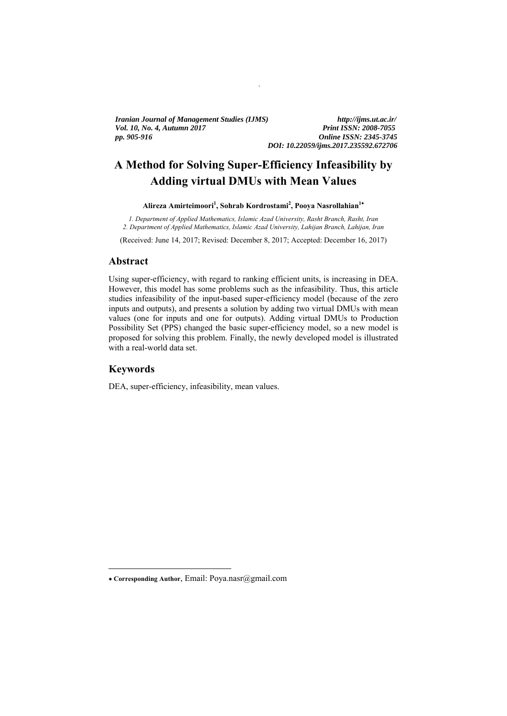*Vol. 10, No. 4, Autumn 2017 Print ISSN: 2008-7055 Print ISSN: 2008-7055 Print ISSN: 2008-7055 Iranian Journal of Management Studies (IJMS) http://ijms.ut.ac.ir/ pp. 905-916 Online ISSN: 2345-3745* 

*DOI: 10.22059/ijms.2017.235592.672706* 

# **A Method for Solving Super-Efficiency Infeasibility by Adding virtual DMUs with Mean Values**

`

#### Alireza Amirteimoori<sup>1</sup>, Sohrab Kordrostami<sup>2</sup>, Pooya Nasrollahian<sup>1\*</sup>

*1. Department of Applied Mathematics, Islamic Azad University, Rasht Branch, Rasht, Iran 2. Department of Applied Mathematics, Islamic Azad University, Lahijan Branch, Lahijan, Iran* 

(Received: June 14, 2017; Revised: December 8, 2017; Accepted: December 16, 2017)

#### **Abstract**

Using super-efficiency, with regard to ranking efficient units, is increasing in DEA. However, this model has some problems such as the infeasibility. Thus, this article studies infeasibility of the input-based super-efficiency model (because of the zero inputs and outputs), and presents a solution by adding two virtual DMUs with mean values (one for inputs and one for outputs). Adding virtual DMUs to Production Possibility Set (PPS) changed the basic super-efficiency model, so a new model is proposed for solving this problem. Finally, the newly developed model is illustrated with a real-world data set.

#### **Keywords**

 $\overline{a}$ 

DEA, super-efficiency, infeasibility, mean values.

**Corresponding Author**, Email: Poya.nasr@gmail.com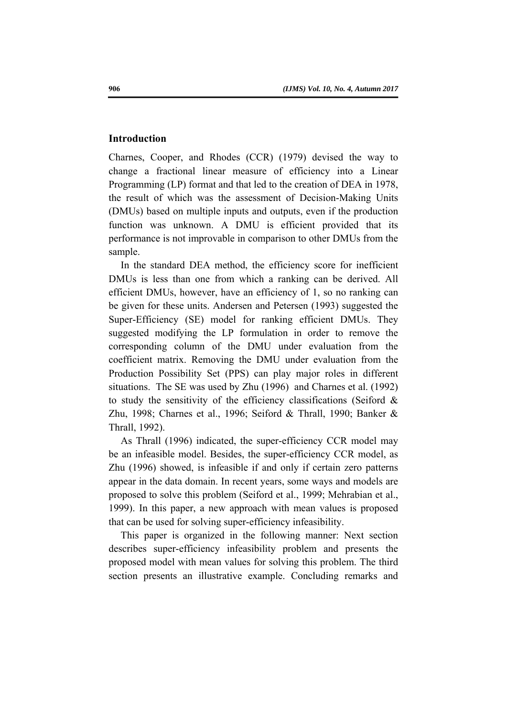#### **Introduction**

Charnes, Cooper, and Rhodes (CCR) (1979) devised the way to change a fractional linear measure of efficiency into a Linear Programming (LP) format and that led to the creation of DEA in 1978, the result of which was the assessment of Decision-Making Units (DMUs) based on multiple inputs and outputs, even if the production function was unknown. A DMU is efficient provided that its performance is not improvable in comparison to other DMUs from the sample.

In the standard DEA method, the efficiency score for inefficient DMUs is less than one from which a ranking can be derived. All efficient DMUs, however, have an efficiency of 1, so no ranking can be given for these units. Andersen and Petersen (1993) suggested the Super-Efficiency (SE) model for ranking efficient DMUs. They suggested modifying the LP formulation in order to remove the corresponding column of the DMU under evaluation from the coefficient matrix. Removing the DMU under evaluation from the Production Possibility Set (PPS) can play major roles in different situations. The SE was used by Zhu (1996) and Charnes et al. (1992) to study the sensitivity of the efficiency classifications (Seiford  $\&$ Zhu, 1998; Charnes et al., 1996; Seiford & Thrall, 1990; Banker & Thrall, 1992).

As Thrall (1996) indicated, the super-efficiency CCR model may be an infeasible model. Besides, the super-efficiency CCR model, as Zhu (1996) showed, is infeasible if and only if certain zero patterns appear in the data domain. In recent years, some ways and models are proposed to solve this problem (Seiford et al., 1999; Mehrabian et al., 1999). In this paper, a new approach with mean values is proposed that can be used for solving super-efficiency infeasibility.

This paper is organized in the following manner: Next section describes super-efficiency infeasibility problem and presents the proposed model with mean values for solving this problem. The third section presents an illustrative example. Concluding remarks and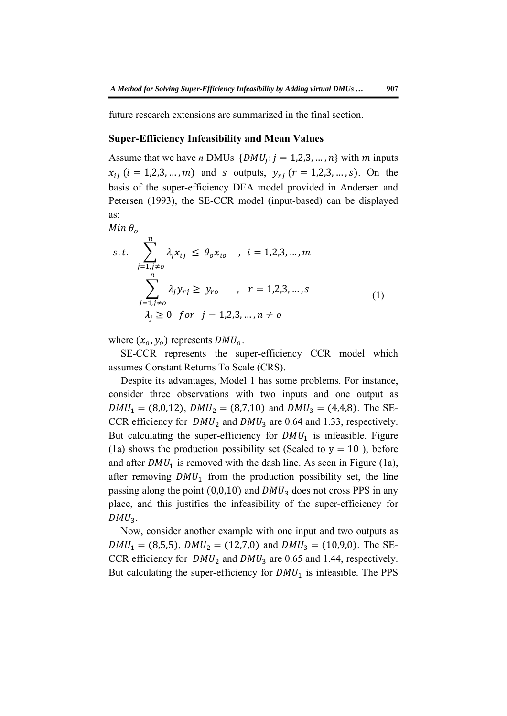future research extensions are summarized in the final section.

#### **Super-Efficiency Infeasibility and Mean Values**

Assume that we have *n* DMUs  $\{DMU_j : j = 1, 2, 3, ..., n\}$  with *m* inputs  $x_{ij}$  (*i* = 1,2,3, ..., *m*) and *s* outputs,  $y_{ri}$  (*r* = 1,2,3, ..., *s*). On the basis of the super-efficiency DEA model provided in Andersen and Petersen (1993), the SE-CCR model (input-based) can be displayed as:

$$
Min \theta_o
$$
\n
$$
s.t. \sum_{j=1, j\neq o}^{n} \lambda_j x_{ij} \leq \theta_o x_{io} \quad, \quad i = 1, 2, 3, \dots, m
$$
\n
$$
\sum_{j=1, j\neq o}^{n} \lambda_j y_{rj} \geq y_{ro} \quad, \quad r = 1, 2, 3, \dots, s
$$
\n
$$
\lambda_j \geq 0 \quad \text{for} \quad j = 1, 2, 3, \dots, n \neq o
$$
\n
$$
(1)
$$

where  $(x_o, y_o)$  represents  $DMU_o$ .

SE-CCR represents the super-efficiency CCR model which assumes Constant Returns To Scale (CRS).

Despite its advantages, Model 1 has some problems. For instance, consider three observations with two inputs and one output as  $DMU_1 = (8,0,12), DMU_2 = (8,7,10)$  and  $DMU_3 = (4,4,8)$ . The SE-CCR efficiency for  $DMU_2$  and  $DMU_3$  are 0.64 and 1.33, respectively. But calculating the super-efficiency for  $DMU<sub>1</sub>$  is infeasible. Figure (1a) shows the production possibility set (Scaled to  $y = 10$ ), before and after  $DMU_1$  is removed with the dash line. As seen in Figure (1a), after removing  $DMU_1$  from the production possibility set, the line passing along the point  $(0,0,10)$  and  $DMU_3$  does not cross PPS in any place, and this justifies the infeasibility of the super-efficiency for  $DMU<sub>2</sub>$ .

Now, consider another example with one input and two outputs as  $DMU_1 = (8,5,5), DMU_2 = (12,7,0)$  and  $DMU_3 = (10,9,0)$ . The SE-CCR efficiency for  $DMU_2$  and  $DMU_3$  are 0.65 and 1.44, respectively. But calculating the super-efficiency for  $DMU_1$  is infeasible. The PPS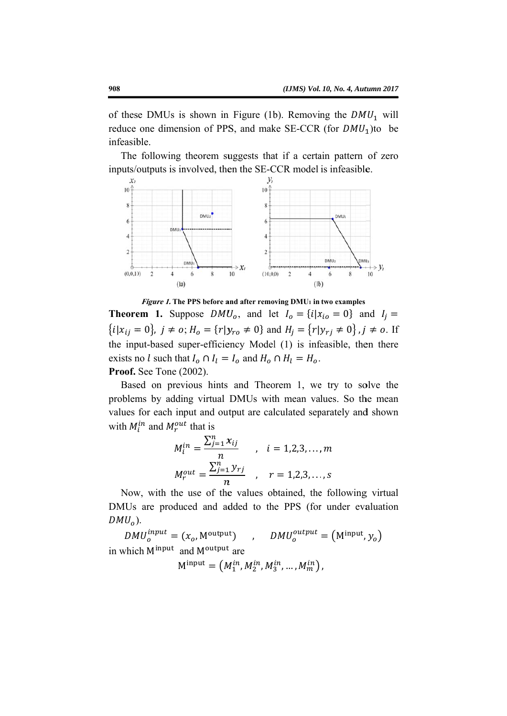of these DMUs is shown in Figure (1b). Removing the  $DMU_1$  will reduce one dimension of PPS, and make SE-CCR (for  $DMU_1$ )to be infeasible.

The following theorem suggests that if a certain pattern of zero inputs/outputs is involved, then the SE-CCR model is infeasible.



Figure 1. The PPS before and after removing DMU1 in two examples

**Theorem 1.** Suppose  $DMU_0$ , and let  $I_0 = \{i | x_{io} = 0\}$  and  $I_i =$  ${i[x_{ij} = 0]}$ ,  $j \neq 0$ ;  $H_0 = {r|y_{ro} \neq 0}$  and  $H_i = {r|y_{ri} \neq 0}$ ,  $j \neq 0$ . If the input-based super-efficiency Model (1) is infeasible, then there exists no l such that  $I_o \cap I_l = I_o$  and  $H_o \cap H_l = H_o$ . Proof. See Tone (2002).

Based on previous hints and Theorem 1, we try to solve the problems by adding virtual DMUs with mean values. So the mean values for each input and output are calculated separately and shown with  $M_i^{in}$  and  $M_r^{out}$  that is

$$
M_i^{in} = \frac{\sum_{j=1}^n x_{ij}}{n}
$$
,  $i = 1, 2, 3, ..., m$   

$$
M_r^{out} = \frac{\sum_{j=1}^n y_{rj}}{n}
$$
,  $r = 1, 2, 3, ..., s$ 

Now, with the use of the values obtained, the following virtual DMUs are produced and added to the PPS (for under evaluation  $DMU<sub>o</sub>$ ).

 $DMU_0^{input} = (x_o, M^{output})$ ,  $DMU_0^{output} = (M^{\text{input}}, y_0)$ in which Minput and Moutput are

 $M^{input} = (M_1^{in}, M_2^{in}, M_3^{in}, ..., M_m^{in})$ ,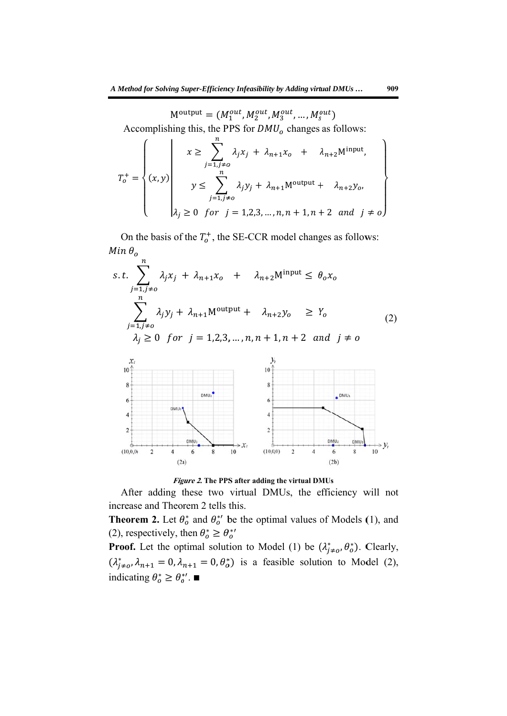$M^{\text{output}} = (M_1^{out}, M_2^{out}, M_3^{out}, \dots, M_s^{out})$ 

Accomplishing this, the PPS for  $DMU<sub>o</sub>$  changes as follows:

$$
T_o^+ = \begin{Bmatrix} x \ge \sum_{j=1, j\neq o} \lambda_j x_j + \lambda_{n+1} x_o + \lambda_{n+2} M^{\text{input}}, \\ y \le \sum_{j=1, j\neq o}^n \lambda_j y_j + \lambda_{n+1} M^{\text{output}} + \lambda_{n+2} y_o, \\ \lambda_j \ge 0 \text{ for } j = 1, 2, 3, ..., n, n+1, n+2 \text{ and } j \neq o \end{Bmatrix}
$$

On the basis of the  $T_o^+$ , the SE-CCR model changes as follows:  $Min \theta_o$ 

$$
s.t. \sum_{j=1, j\neq o}^{n} \lambda_j x_j + \lambda_{n+1} x_o + \lambda_{n+2} M^{\text{input}} \leq \theta_o x_o
$$
  

$$
\sum_{j=1, j\neq o}^{n} \lambda_j y_j + \lambda_{n+1} M^{\text{output}} + \lambda_{n+2} y_o \geq Y_o
$$
  

$$
\lambda_i \geq 0 \text{ for } j = 1, 2, 3, ..., n, n+1, n+2 \text{ and } j \neq o
$$
 (2)



Figure 2. The PPS after adding the virtual DMUs

After adding these two virtual DMUs, the efficiency will not increase and Theorem 2 tells this.

**Theorem 2.** Let  $\theta_o^*$  and  $\theta_o^{*'}$  be the optimal values of Models (1), and (2), respectively, then  $\theta_o^* \ge \theta_o^{*'}$ 

**Proof.** Let the optimal solution to Model (1) be  $(\lambda_{j\neq o}^*, \theta_o^*)$ . Clearly,  $(\lambda_{j\neq o}^*, \lambda_{n+1} = 0, \lambda_{n+1} = 0, \theta_o^*)$  is a feasible solution to Model (2), indicating  $\theta_o^* \geq \theta_o^{*'}$ .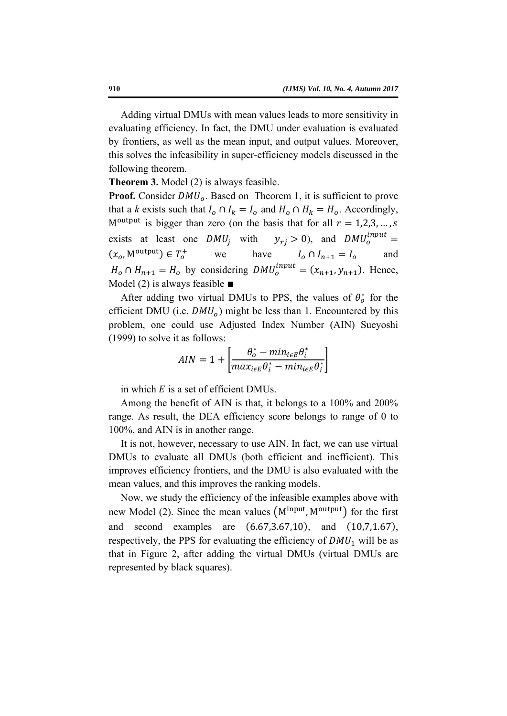Adding virtual DMUs with mean values leads to more sensitivity in evaluating efficiency. In fact, the DMU under evaluation is evaluated by frontiers, as well as the mean input, and output values. Moreover, this solves the infeasibility in super-efficiency models discussed in the following theorem.

**Theorem 3.** Model (2) is always feasible.

**Proof.** Consider  $DMU_0$ . Based on Theorem 1, it is sufficient to prove that a *k* exists such that  $I_o \cap I_k = I_o$  and  $H_o \cap H_k = H_o$ . Accordingly, M<sup>output</sup> is bigger than zero (on the basis that for all  $r = 1,2,3,..., s$ exists at least one  $DMU_i$  with  $y_{rj} > 0$ ), and  $DMU_0^{input} =$  $(x_{\alpha}, M^{\text{output}}) \in T_{\alpha}^{+}$  $I_0^+$  we have  $I_0 \cap I_{n+1} = I_0$  and  $H_o \cap H_{n+1} = H_o$  by considering  $DMU_o^{input} = (x_{n+1}, y_{n+1})$ . Hence, Model (2) is always feasible ∎

After adding two virtual DMUs to PPS, the values of  $\theta_o^*$  for the efficient DMU (i.e.  $DMU<sub>o</sub>$ ) might be less than 1. Encountered by this problem, one could use Adjusted Index Number (AIN) Sueyoshi (1999) to solve it as follows:

$$
AIN = 1 + \left[ \frac{\theta_o^* - \min_{i \in E} \theta_i^*}{\max_{i \in E} \theta_i^* - \min_{i \in E} \theta_i^*} \right]
$$

in which  $E$  is a set of efficient DMUs.

Among the benefit of AIN is that, it belongs to a 100% and 200% range. As result, the DEA efficiency score belongs to range of 0 to 100%, and AIN is in another range.

It is not, however, necessary to use AIN. In fact, we can use virtual DMUs to evaluate all DMUs (both efficient and inefficient). This improves efficiency frontiers, and the DMU is also evaluated with the mean values, and this improves the ranking models.

Now, we study the efficiency of the infeasible examples above with new Model (2). Since the mean values (M<sup>input</sup>, M<sup>output</sup>) for the first and second examples are  $(6.67, 3.67, 10)$ , and  $(10, 7, 1.67)$ , respectively, the PPS for evaluating the efficiency of  $DMU_1$  will be as that in Figure 2, after adding the virtual DMUs (virtual DMUs are represented by black squares).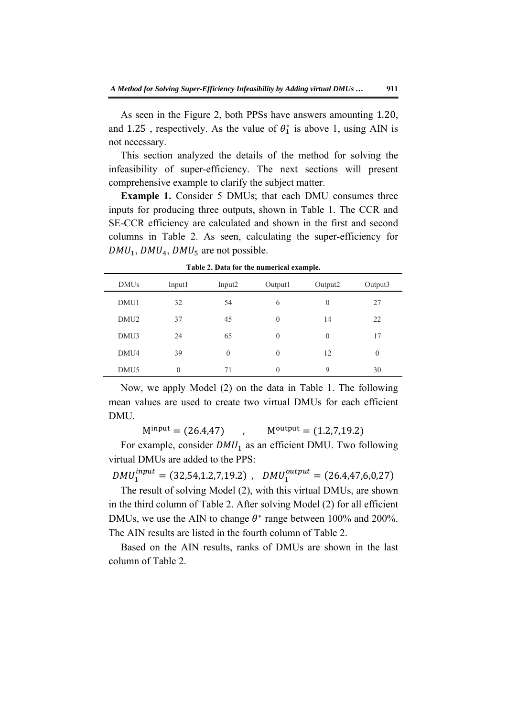As seen in the Figure 2, both PPSs have answers amounting 1.20, and 1.25, respectively. As the value of  $\theta_1^*$  is above 1, using AIN is not necessary.

This section analyzed the details of the method for solving the infeasibility of super-efficiency. The next sections will present comprehensive example to clarify the subject matter.

**Example 1.** Consider 5 DMUs; that each DMU consumes three inputs for producing three outputs, shown in Table 1. The CCR and SE-CCR efficiency are calculated and shown in the first and second columns in Table 2. As seen, calculating the super-efficiency for  $DMU_1$ ,  $DMU_4$ ,  $DMU_5$  are not possible.

| <b>DMUs</b>      | Input1   | Input <sub>2</sub> | Output1  | Output2          | Output3  |
|------------------|----------|--------------------|----------|------------------|----------|
| DMU1             | 32       | 54                 | 6        | $\boldsymbol{0}$ | 27       |
| DMU <sub>2</sub> | 37       | 45                 | $\theta$ | 14               | 22       |
| DMU3             | 24       | 65                 | $\theta$ | $\theta$         | 17       |
| DMU4             | 39       | $\theta$           | $\theta$ | 12               | $\theta$ |
| DMU <sub>5</sub> | $\theta$ | 71                 | $\theta$ | 9                | 30       |

**Table 2. Data for the numerical example.** 

Now, we apply Model (2) on the data in Table 1. The following mean values are used to create two virtual DMUs for each efficient DMU.

 $M^{input} = (26.4,47)$  ,  $M^{output} = (1.2,7,19.2)$ 

For example, consider  $DMU_1$  as an efficient DMU. Two following virtual DMUs are added to the PPS:

 $DMU_1^{input} = (32,54,1.2,7,19.2)$ ,  $DMU_1^{output} = (26.4,47,6,0,27)$ 

The result of solving Model (2), with this virtual DMUs, are shown in the third column of Table 2. After solving Model (2) for all efficient DMUs, we use the AIN to change  $\theta^*$  range between 100% and 200%. The AIN results are listed in the fourth column of Table 2.

Based on the AIN results, ranks of DMUs are shown in the last column of Table 2.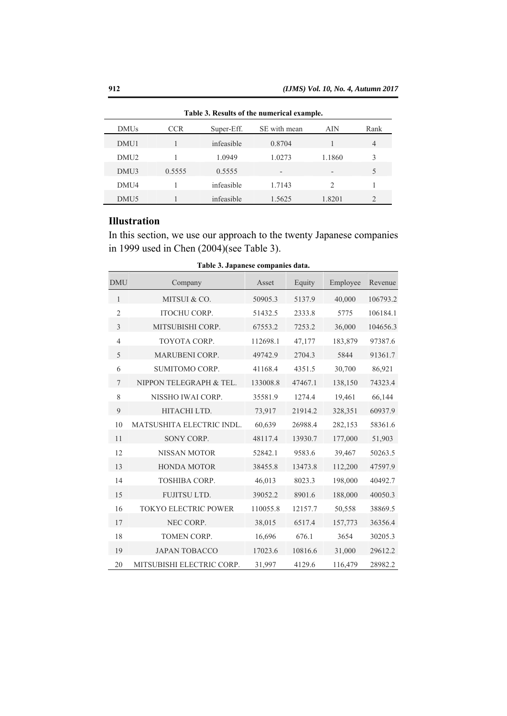| Table 3. Results of the numerical example. |            |            |              |               |                |  |
|--------------------------------------------|------------|------------|--------------|---------------|----------------|--|
| <b>DMUs</b>                                | <b>CCR</b> | Super-Eff. | SE with mean | AIN           | Rank           |  |
| DMU1                                       |            | infeasible | 0.8704       |               | 4              |  |
| DMU <sub>2</sub>                           |            | 1.0949     | 1.0273       | 1.1860        | 3              |  |
| DMU3                                       | 0.5555     | 0.5555     |              |               | 5              |  |
| DMU4                                       |            | infeasible | 1.7143       | $\mathcal{D}$ |                |  |
| DMU5                                       |            | infeasible | 1.5625       | 1.8201        | $\mathfrak{D}$ |  |

## **Illustration**

In this section, we use our approach to the twenty Japanese companies in 1999 used in Chen (2004)(see Table 3).

| <b>DMU</b>     | Company                   | Asset    | Equity  | Employee | Revenue  |
|----------------|---------------------------|----------|---------|----------|----------|
| 1              | MITSUI & CO.              | 50905.3  | 5137.9  | 40,000   | 106793.2 |
| $\overline{2}$ | <b>ITOCHU CORP.</b>       | 51432.5  | 2333.8  | 5775     | 106184.1 |
| 3              | MITSUBISHI CORP.          | 67553.2  | 7253.2  | 36,000   | 104656.3 |
| $\overline{4}$ | TOYOTA CORP.              | 112698.1 | 47,177  | 183,879  | 97387.6  |
| 5              | MARUBENI CORP.            | 49742.9  | 2704.3  | 5844     | 91361.7  |
| 6              | SUMITOMO CORP.            | 41168.4  | 4351.5  | 30,700   | 86,921   |
| 7              | NIPPON TELEGRAPH & TEL.   | 133008.8 | 47467.1 | 138,150  | 74323.4  |
| 8              | NISSHO IWAI CORP.         | 35581.9  | 1274.4  | 19,461   | 66,144   |
| 9              | HITACHI LTD.              | 73,917   | 21914.2 | 328,351  | 60937.9  |
| 10             | MATSUSHITA ELECTRIC INDL. | 60,639   | 26988.4 | 282,153  | 58361.6  |
| 11             | SONY CORP.                | 48117.4  | 13930.7 | 177,000  | 51,903   |
| 12             | NISSAN MOTOR              | 52842.1  | 9583.6  | 39,467   | 50263.5  |
| 13             | <b>HONDA MOTOR</b>        | 38455.8  | 13473.8 | 112,200  | 47597.9  |
| 14             | <b>TOSHIBA CORP.</b>      | 46,013   | 8023.3  | 198,000  | 40492.7  |
| 15             | FUJITSU LTD.              | 39052.2  | 8901.6  | 188,000  | 40050.3  |
| 16             | TOKYO ELECTRIC POWER      | 110055.8 | 12157.7 | 50,558   | 38869.5  |
| 17             | NEC CORP.                 | 38,015   | 6517.4  | 157,773  | 36356.4  |
| 18             | TOMEN CORP.               | 16,696   | 676.1   | 3654     | 30205.3  |
| 19             | <b>JAPAN TOBACCO</b>      | 17023.6  | 10816.6 | 31,000   | 29612.2  |
| 20             | MITSUBISHI ELECTRIC CORP. | 31,997   | 4129.6  | 116,479  | 28982.2  |

**Table 3. Japanese companies data.**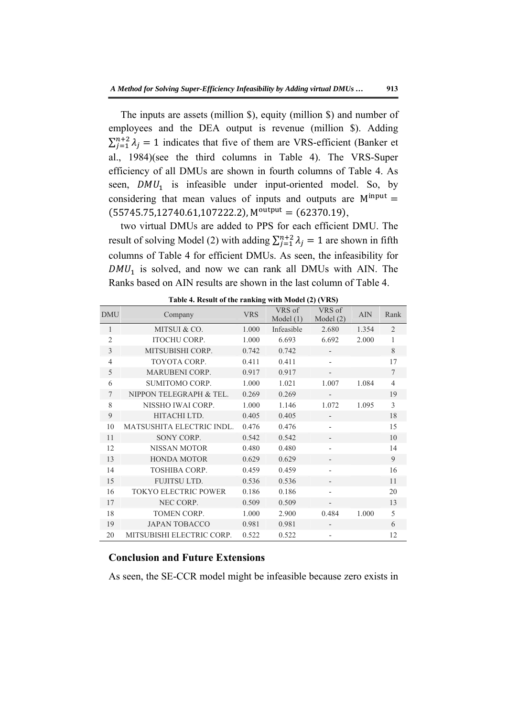The inputs are assets (million \$), equity (million \$) and number of employees and the DEA output is revenue (million \$). Adding  $\sum_{j=1}^{n+2} \lambda_j = 1$  indicates that five of them are VRS-efficient (Banker et al., 1984)(see the third columns in Table 4). The VRS-Super efficiency of all DMUs are shown in fourth columns of Table 4. As seen,  $DMU_1$  is infeasible under input-oriented model. So, by considering that mean values of inputs and outputs are  $M^{input} =$  $(55745.75, 12740.61, 107222.2), M<sup>output</sup> = (62370.19),$ 

two virtual DMUs are added to PPS for each efficient DMU. The result of solving Model (2) with adding  $\sum_{j=1}^{n+2} \lambda_j = 1$  are shown in fifth columns of Table 4 for efficient DMUs. As seen, the infeasibility for  $DMU_1$  is solved, and now we can rank all DMUs with AIN. The Ranks based on AIN results are shown in the last column of Table 4.

| <b>DMU</b>     | Company                   | <b>VRS</b> | VRS of<br>Model $(1)$ | VRS of<br>Model $(2)$    | <b>AIN</b> | Rank            |
|----------------|---------------------------|------------|-----------------------|--------------------------|------------|-----------------|
| 1              | MITSUI & CO.              | 1.000      | Infeasible            | 2.680                    | 1.354      | 2               |
| $\overline{2}$ | <b>ITOCHU CORP.</b>       | 1.000      | 6.693                 | 6.692                    | 2.000      | $\mathbf{1}$    |
| 3              | MITSUBISHI CORP.          | 0.742      | 0.742                 |                          |            | 8               |
| $\overline{4}$ | <b>TOYOTA CORP.</b>       | 0.411      | 0.411                 | $\overline{\phantom{a}}$ |            | 17              |
| 5              | <b>MARUBENI CORP.</b>     | 0.917      | 0.917                 | $\overline{\phantom{0}}$ |            | $7\phantom{.0}$ |
| 6              | <b>SUMITOMO CORP.</b>     | 1.000      | 1.021                 | 1.007                    | 1.084      | $\overline{4}$  |
| 7              | NIPPON TELEGRAPH & TEL.   | 0.269      | 0.269                 | $\overline{\phantom{a}}$ |            | 19              |
| 8              | NISSHO IWAI CORP.         | 1.000      | 1.146                 | 1.072                    | 1.095      | 3               |
| 9              | HITACHI LTD.              | 0.405      | 0.405                 | $\overline{\phantom{a}}$ |            | 18              |
| 10             | MATSUSHITA ELECTRIC INDL. | 0.476      | 0.476                 | $\overline{\phantom{a}}$ |            | 15              |
| 11             | SONY CORP.                | 0.542      | 0.542                 | $\overline{\phantom{a}}$ |            | 10              |
| 12             | NISSAN MOTOR              | 0.480      | 0.480                 | $\overline{\phantom{0}}$ |            | 14              |
| 13             | <b>HONDA MOTOR</b>        | 0.629      | 0.629                 | $\overline{\phantom{a}}$ |            | 9               |
| 14             | <b>TOSHIBA CORP.</b>      | 0.459      | 0.459                 | $\overline{\phantom{a}}$ |            | 16              |
| 15             | <b>FUJITSU LTD.</b>       | 0.536      | 0.536                 | $\overline{\phantom{a}}$ |            | 11              |
| 16             | TOKYO ELECTRIC POWER      | 0.186      | 0.186                 | $\overline{\phantom{a}}$ |            | 20              |
| 17             | NEC CORP.                 | 0.509      | 0.509                 | $\overline{\phantom{a}}$ |            | 13              |
| 18             | <b>TOMEN CORP.</b>        | 1.000      | 2.900                 | 0.484                    | 1.000      | 5               |
| 19             | <b>JAPAN TOBACCO</b>      | 0.981      | 0.981                 |                          |            | 6               |
| 20             | MITSUBISHI ELECTRIC CORP. | 0.522      | 0.522                 | $\overline{\phantom{a}}$ |            | 12              |

**Table 4. Result of the ranking with Model (2) (VRS)** 

### **Conclusion and Future Extensions**

As seen, the SE-CCR model might be infeasible because zero exists in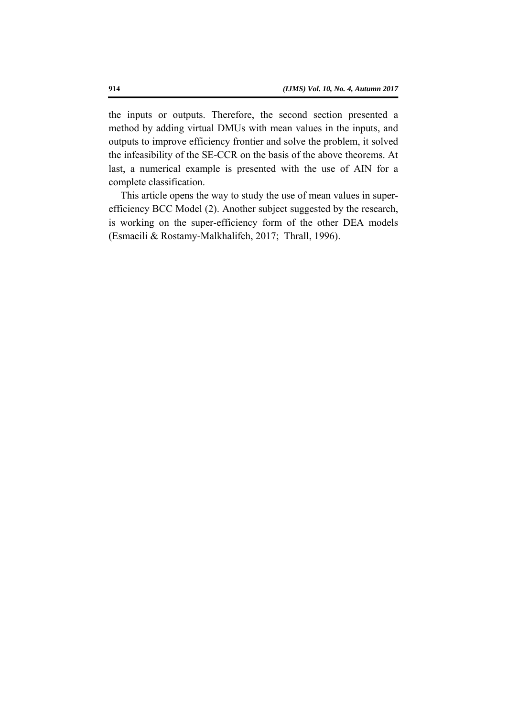the inputs or outputs. Therefore, the second section presented a method by adding virtual DMUs with mean values in the inputs, and outputs to improve efficiency frontier and solve the problem, it solved the infeasibility of the SE-CCR on the basis of the above theorems. At last, a numerical example is presented with the use of AIN for a complete classification.

This article opens the way to study the use of mean values in superefficiency BCC Model (2). Another subject suggested by the research, is working on the super-efficiency form of the other DEA models (Esmaeili & Rostamy-Malkhalifeh, 2017; Thrall, 1996).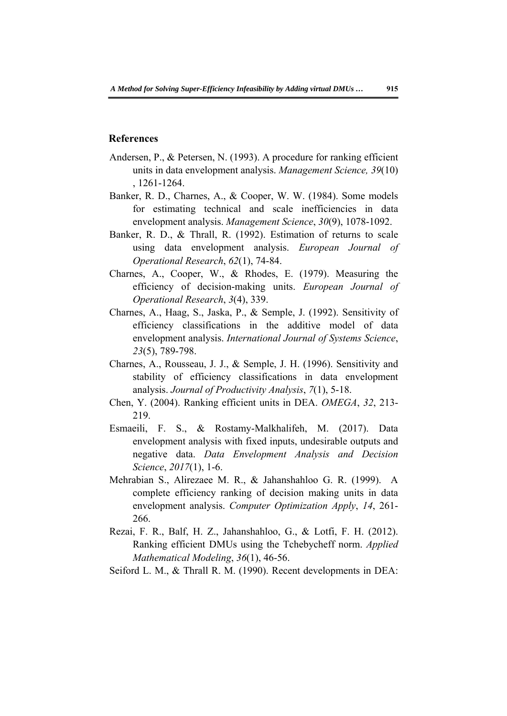#### **References**

- Andersen, P., & Petersen, N. (1993). A procedure for ranking efficient units in data envelopment analysis. *Management Science, 39*(10) , 1261-1264.
- Banker, R. D., Charnes, A., & Cooper, W. W. (1984). Some models for estimating technical and scale inefficiencies in data envelopment analysis. *Management Science*, *30*(9), 1078-1092.
- Banker, R. D., & Thrall, R. (1992). Estimation of returns to scale using data envelopment analysis. *European Journal of Operational Research*, *62*(1), 74-84.
- Charnes, A., Cooper, W., & Rhodes, E. (1979). Measuring the efficiency of decision-making units. *European Journal of Operational Research*, *3*(4), 339.
- Charnes, A., Haag, S., Jaska, P., & Semple, J. (1992). Sensitivity of efficiency classifications in the additive model of data envelopment analysis. *International Journal of Systems Science*, *23*(5), 789-798.
- Charnes, A., Rousseau, J. J., & Semple, J. H. (1996). Sensitivity and stability of efficiency classifications in data envelopment analysis. *Journal of Productivity Analysis*, *7*(1), 5-18.
- Chen, Y. (2004). Ranking efficient units in DEA. *OMEGA*, *32*, 213- 219.
- Esmaeili, F. S., & Rostamy-Malkhalifeh, M. (2017). Data envelopment analysis with fixed inputs, undesirable outputs and negative data. *Data Envelopment Analysis and Decision Science*, *2017*(1), 1-6.
- Mehrabian S., Alirezaee M. R., & Jahanshahloo G. R. (1999). A complete efficiency ranking of decision making units in data envelopment analysis. *Computer Optimization Apply*, *14*, 261- 266.
- Rezai, F. R., Balf, H. Z., Jahanshahloo, G., & Lotfi, F. H. (2012). Ranking efficient DMUs using the Tchebycheff norm. *Applied Mathematical Modeling*, *36*(1), 46-56.
- Seiford L. M., & Thrall R. M. (1990). Recent developments in DEA: